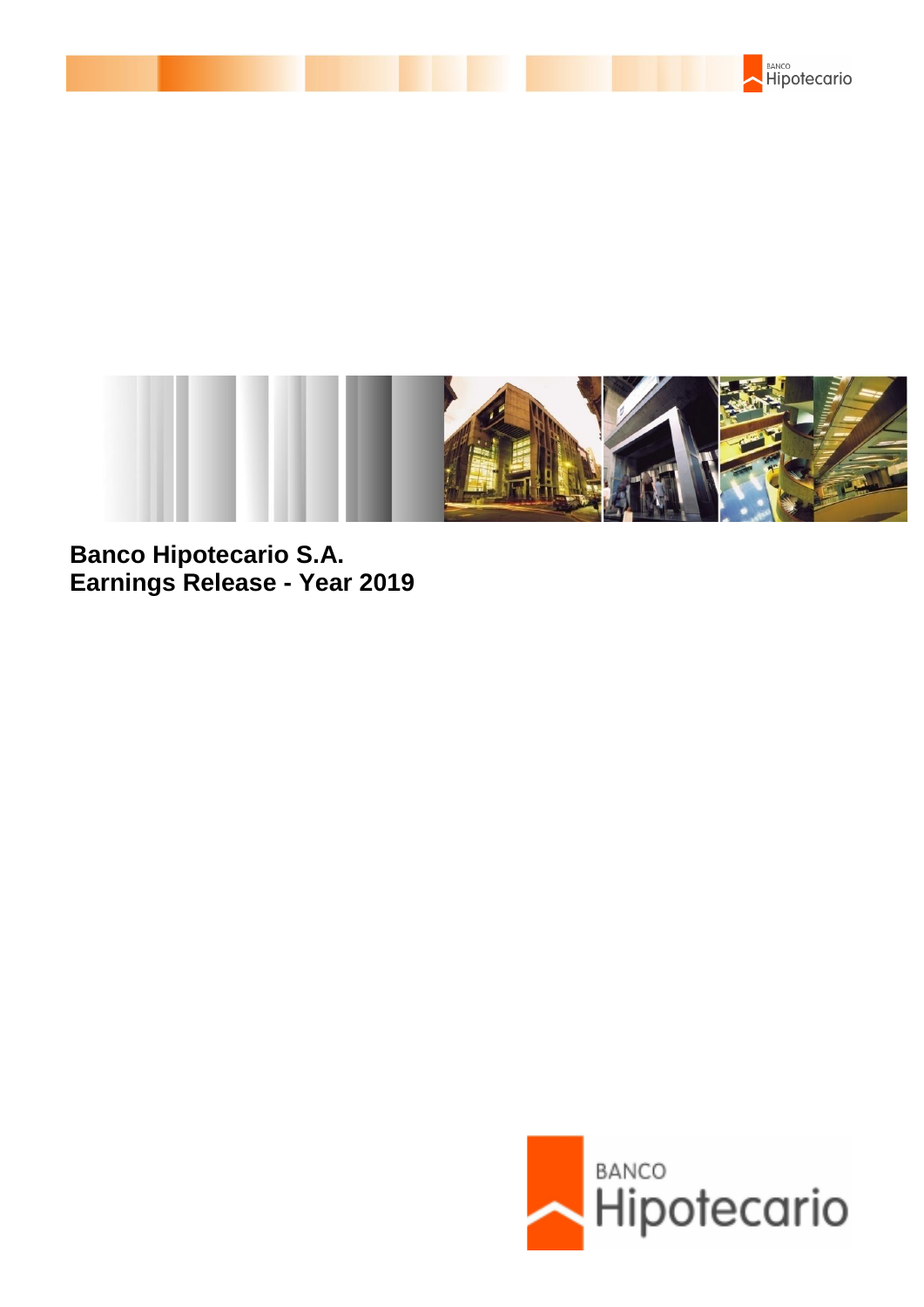



**Banco Hipotecario S.A. Earnings Release - Year 2019**

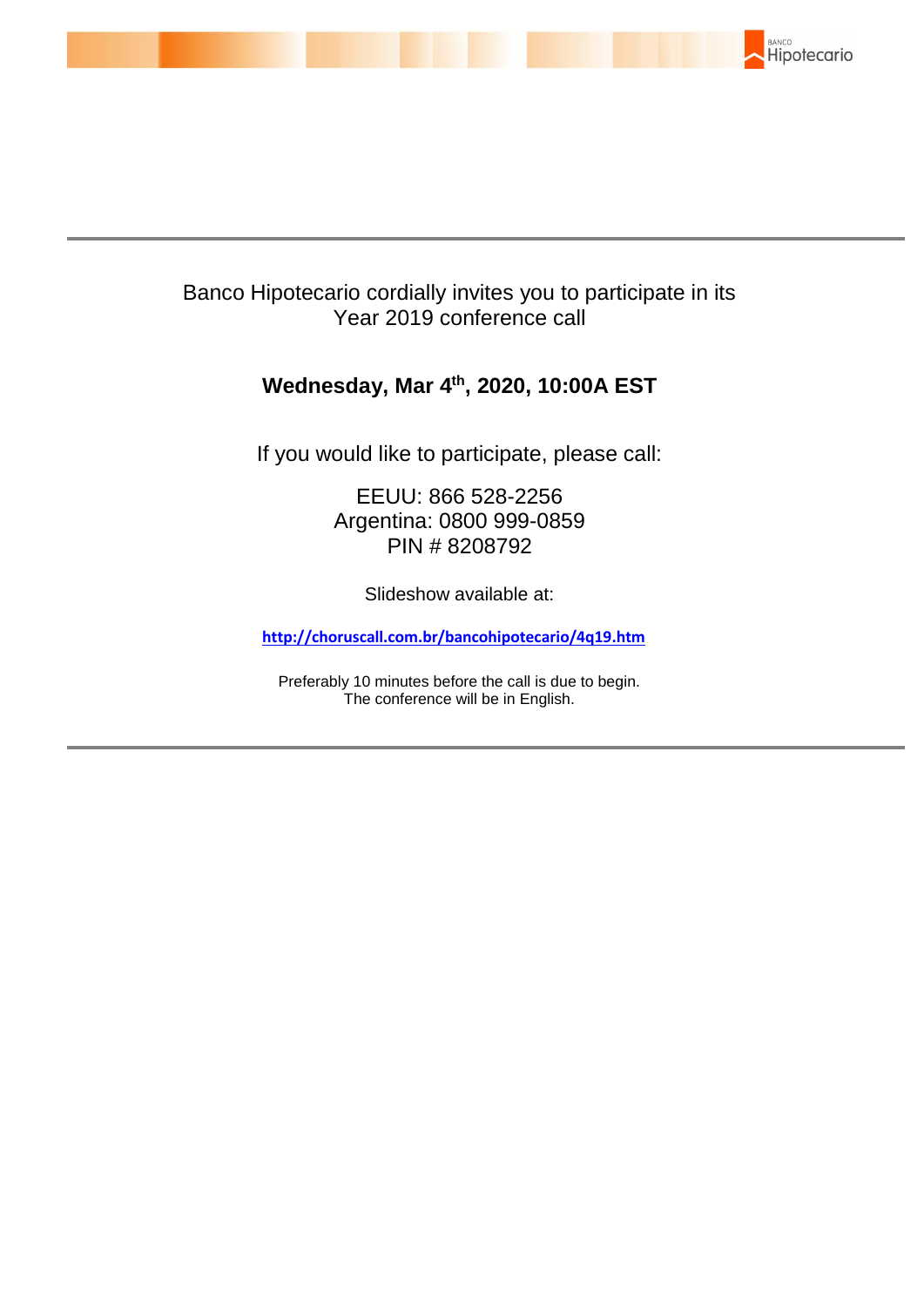

# Banco Hipotecario cordially invites you to participate in its Year 2019 conference call

# **Wednesday, Mar 4 th , 2020, 10:00A EST**

If you would like to participate, please call:

EEUU: 866 528-2256 Argentina: 0800 999-0859 PIN # 8208792

Slideshow available at:

**[http://choruscall.com.br/bancohipotecario/4q19.htm](https://nam03.safelinks.protection.outlook.com/?url=http%3A%2F%2Fchoruscall.com.br%2Fbancohipotecario%2F4q19.htm&data=02%7C01%7Cmauricio.carrega%40prnewswire.com.br%7Ce5c82c5c953f4816d1d908d7bac9768a%7C887bf9ee3c824b88bcb280d5e169b99b%7C1%7C1%7C637183246759398052&sdata=gutJ6kDVe9%2FtHtpkGd9f6ln6dcRG0FVUPH7kdput%2FLE%3D&reserved=0)**

Preferably 10 minutes before the call is due to begin. The conference will be in English.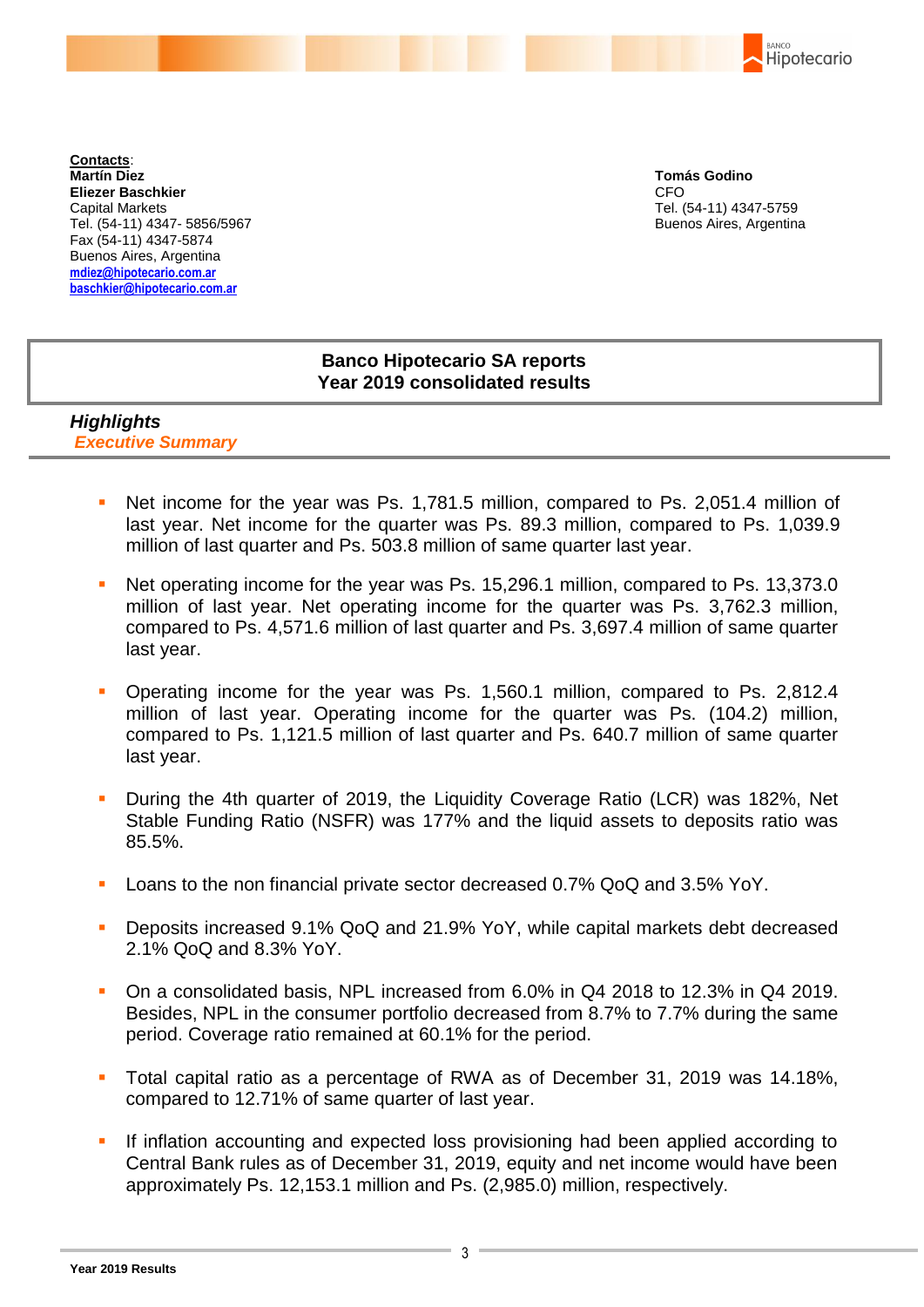BANCO Hipotecario

**Contacts**: **Martín Diez Eliezer Baschkier** Capital Markets Tel. (54-11) 4347- 5856/5967 Fax (54-11) 4347-5874 Buenos Aires, Argentina **mdiez@hipotecario.com.ar [baschkier@hipotecario.com.ar](mailto:baschkier@hipotecario.com.ar)**

**Tomás Godino** CFO Tel. (54-11) 4347-5759 Buenos Aires, Argentina

# **Banco Hipotecario SA reports Year 2019 consolidated results**

## *Highlights Executive Summary*

- Net income for the year was Ps. 1,781.5 million, compared to Ps. 2,051.4 million of last year. Net income for the quarter was Ps. 89.3 million, compared to Ps. 1,039.9 million of last quarter and Ps. 503.8 million of same quarter last year.
- Net operating income for the year was Ps. 15,296.1 million, compared to Ps. 13,373.0 million of last year. Net operating income for the quarter was Ps. 3,762.3 million, compared to Ps. 4,571.6 million of last quarter and Ps. 3,697.4 million of same quarter last year.
- Operating income for the year was Ps. 1,560.1 million, compared to Ps. 2,812.4 million of last year. Operating income for the quarter was Ps. (104.2) million, compared to Ps. 1,121.5 million of last quarter and Ps. 640.7 million of same quarter last year.
- During the 4th quarter of 2019, the Liquidity Coverage Ratio (LCR) was 182%, Net Stable Funding Ratio (NSFR) was 177% and the liquid assets to deposits ratio was 85.5%.
- Loans to the non financial private sector decreased 0.7% QoQ and 3.5% YoY.
- Deposits increased 9.1% QoQ and 21.9% YoY, while capital markets debt decreased 2.1% QoQ and 8.3% YoY.
- On a consolidated basis, NPL increased from 6.0% in Q4 2018 to 12.3% in Q4 2019. Besides, NPL in the consumer portfolio decreased from 8.7% to 7.7% during the same period. Coverage ratio remained at 60.1% for the period.
- Total capital ratio as a percentage of RWA as of December 31, 2019 was 14.18%, compared to 12.71% of same quarter of last year.
- If inflation accounting and expected loss provisioning had been applied according to Central Bank rules as of December 31, 2019, equity and net income would have been approximately Ps. 12,153.1 million and Ps. (2,985.0) million, respectively.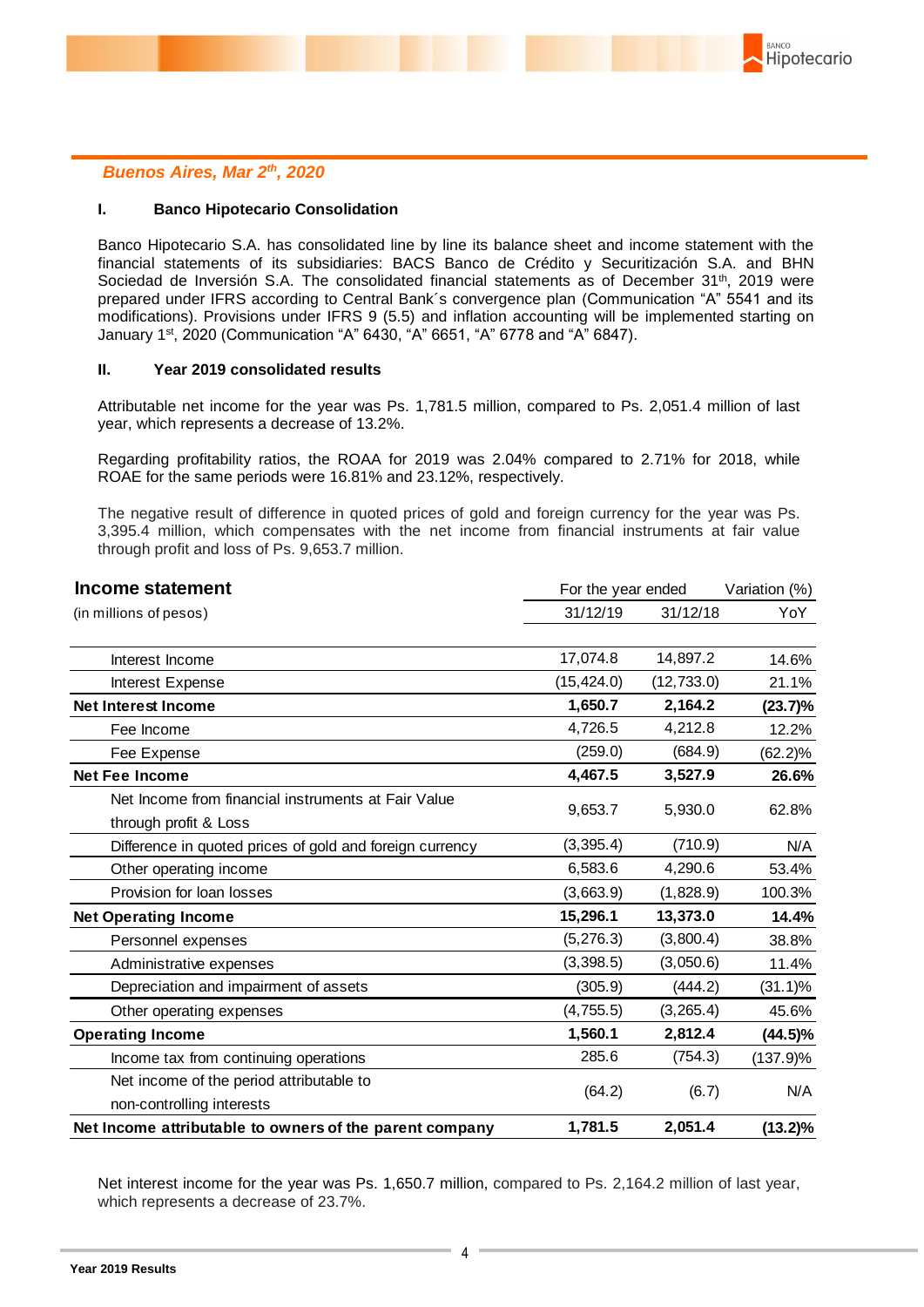

### *Buenos Aires, Mar 2 th, 2020*

#### **I. Banco Hipotecario Consolidation**

Banco Hipotecario S.A. has consolidated line by line its balance sheet and income statement with the financial statements of its subsidiaries: BACS Banco de Crédito y Securitización S.A. and BHN Sociedad de Inversión S.A. The consolidated financial statements as of December 31<sup>th</sup>, 2019 were prepared under IFRS according to Central Bank´s convergence plan (Communication "A" 5541 and its modifications). Provisions under IFRS 9 (5.5) and inflation accounting will be implemented starting on January 1st, 2020 (Communication "A" 6430, "A" 6651, "A" 6778 and "A" 6847).

#### **II. Year 2019 consolidated results**

Attributable net income for the year was Ps. 1,781.5 million, compared to Ps. 2,051.4 million of last year, which represents a decrease of 13.2%.

Regarding profitability ratios, the ROAA for 2019 was 2.04% compared to 2.71% for 2018, while ROAE for the same periods were 16.81% and 23.12%, respectively.

The negative result of difference in quoted prices of gold and foreign currency for the year was Ps. 3,395.4 million, which compensates with the net income from financial instruments at fair value through profit and loss of Ps. 9,653.7 million.

| Income statement                                         | For the year ended |             | Variation (%) |  |
|----------------------------------------------------------|--------------------|-------------|---------------|--|
| (in millions of pesos)                                   | 31/12/19           | 31/12/18    | YoY           |  |
| Interest Income                                          | 17,074.8           | 14,897.2    | 14.6%         |  |
| Interest Expense                                         | (15, 424.0)        | (12, 733.0) | 21.1%         |  |
| <b>Net Interest Income</b>                               | 1,650.7            | 2,164.2     | (23.7)%       |  |
| Fee Income                                               | 4,726.5            | 4,212.8     | 12.2%         |  |
| Fee Expense                                              | (259.0)            | (684.9)     | $(62.2)\%$    |  |
| <b>Net Fee Income</b>                                    | 4,467.5            | 3,527.9     | 26.6%         |  |
| Net Income from financial instruments at Fair Value      | 9,653.7            | 5,930.0     | 62.8%         |  |
| through profit & Loss                                    |                    |             |               |  |
| Difference in quoted prices of gold and foreign currency | (3, 395.4)         | (710.9)     | N/A           |  |
| Other operating income                                   | 6,583.6            | 4,290.6     | 53.4%         |  |
| Provision for loan losses                                | (3,663.9)          | (1,828.9)   | 100.3%        |  |
| <b>Net Operating Income</b>                              | 15,296.1           | 13,373.0    | 14.4%         |  |
| Personnel expenses                                       | (5, 276.3)         | (3,800.4)   | 38.8%         |  |
| Administrative expenses                                  | (3,398.5)          | (3,050.6)   | 11.4%         |  |
| Depreciation and impairment of assets                    | (305.9)            | (444.2)     | (31.1)%       |  |
| Other operating expenses                                 | (4, 755.5)         | (3, 265.4)  | 45.6%         |  |
| <b>Operating Income</b>                                  | 1,560.1            | 2,812.4     | $(44.5)\%$    |  |
| Income tax from continuing operations                    | 285.6              | (754.3)     | (137.9)%      |  |
| Net income of the period attributable to                 |                    |             |               |  |
| non-controlling interests                                | (64.2)             | (6.7)       | N/A           |  |
| Net Income attributable to owners of the parent company  | 1,781.5            | 2,051.4     | $(13.2)\%$    |  |

Net interest income for the year was Ps. 1,650.7 million, compared to Ps. 2,164.2 million of last year, which represents a decrease of 23.7%.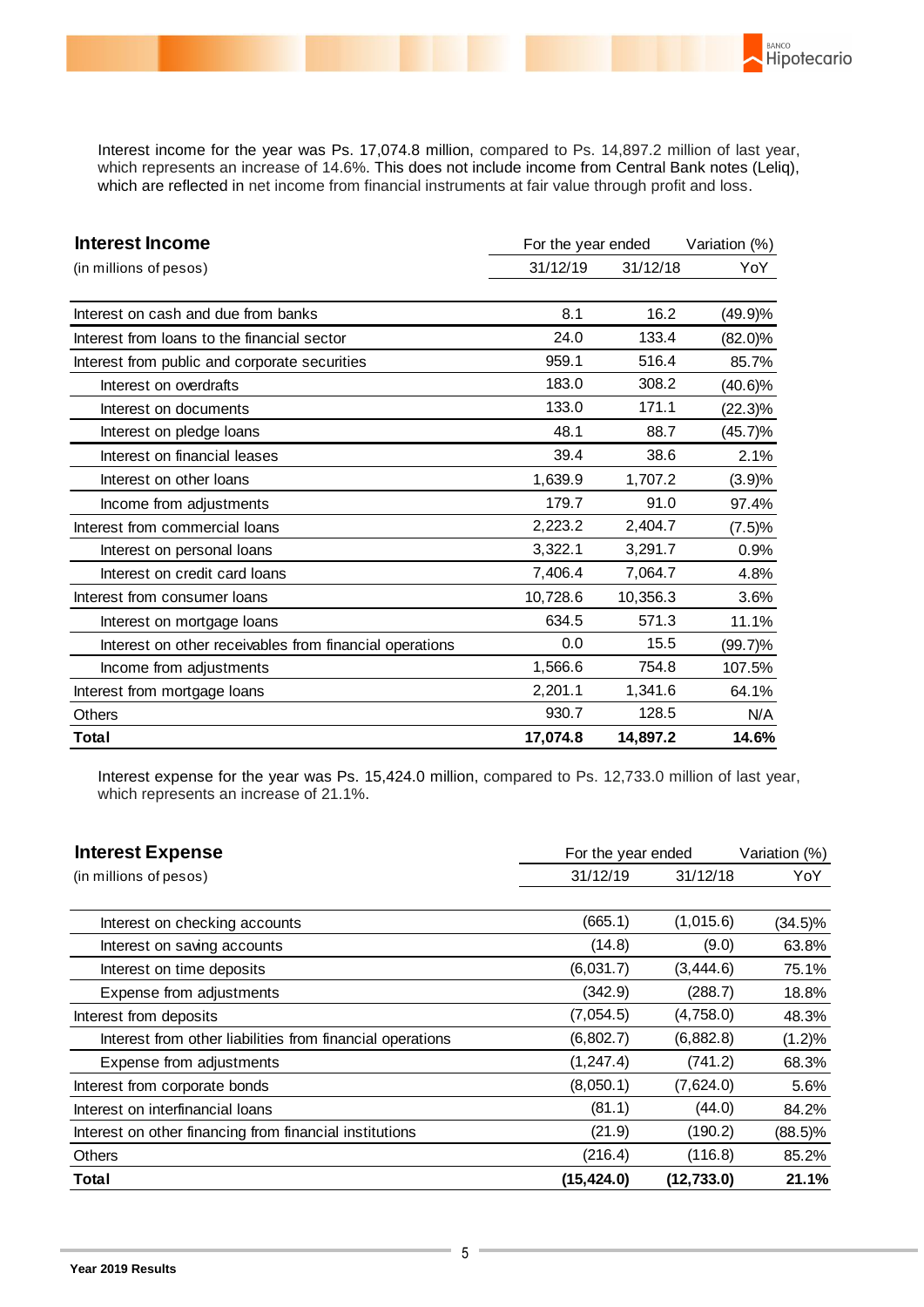Interest income for the year was Ps. 17,074.8 million, compared to Ps. 14,897.2 million of last year, which represents an increase of 14.6%. This does not include income from Central Bank notes (Leliq), which are reflected in net income from financial instruments at fair value through profit and loss.

BANCO

Hipotecario

| <b>Interest Income</b>                                  | For the year ended | Variation (%) |            |
|---------------------------------------------------------|--------------------|---------------|------------|
| (in millions of pesos)                                  | 31/12/19           | 31/12/18      | YoY        |
|                                                         |                    |               |            |
| Interest on cash and due from banks                     | 8.1                | 16.2          | (49.9)%    |
| Interest from loans to the financial sector             | 24.0               | 133.4         | $(82.0)\%$ |
| Interest from public and corporate securities           | 959.1              | 516.4         | 85.7%      |
| Interest on overdrafts                                  | 183.0              | 308.2         | $(40.6)\%$ |
| Interest on documents                                   | 133.0              | 171.1         | $(22.3)\%$ |
| Interest on pledge loans                                | 48.1               | 88.7          | (45.7)%    |
| Interest on financial leases                            | 39.4               | 38.6          | 2.1%       |
| Interest on other loans                                 | 1,639.9            | 1,707.2       | (3.9)%     |
| Income from adjustments                                 | 179.7              | 91.0          | 97.4%      |
| Interest from commercial loans                          | 2,223.2            | 2,404.7       | (7.5)%     |
| Interest on personal loans                              | 3,322.1            | 3,291.7       | 0.9%       |
| Interest on credit card loans                           | 7,406.4            | 7,064.7       | 4.8%       |
| Interest from consumer loans                            | 10,728.6           | 10,356.3      | 3.6%       |
| Interest on mortgage loans                              | 634.5              | 571.3         | 11.1%      |
| Interest on other receivables from financial operations | 0.0                | 15.5          | $(99.7)\%$ |
| Income from adjustments                                 | 1,566.6            | 754.8         | 107.5%     |
| Interest from mortgage loans                            | 2,201.1            | 1,341.6       | 64.1%      |
| <b>Others</b>                                           | 930.7              | 128.5         | N/A        |
| Total                                                   | 17,074.8           | 14,897.2      | 14.6%      |

Interest expense for the year was Ps. 15,424.0 million, compared to Ps. 12,733.0 million of last year, which represents an increase of 21.1%.

| <b>Interest Expense</b>                                   | For the year ended |             | Variation (%) |  |
|-----------------------------------------------------------|--------------------|-------------|---------------|--|
| (in millions of pesos)                                    | 31/12/19           | 31/12/18    | YoY           |  |
|                                                           |                    |             |               |  |
| Interest on checking accounts                             | (665.1)            | (1,015.6)   | $(34.5)\%$    |  |
| Interest on saving accounts                               | (14.8)             | (9.0)       | 63.8%         |  |
| Interest on time deposits                                 | (6,031.7)          | (3,444.6)   | 75.1%         |  |
| Expense from adjustments                                  | (342.9)            | (288.7)     | 18.8%         |  |
| Interest from deposits                                    | (7,054.5)          | (4,758.0)   | 48.3%         |  |
| Interest from other liabilities from financial operations | (6,802.7)          | (6,882.8)   | $(1.2)\%$     |  |
| Expense from adjustments                                  | (1, 247.4)         | (741.2)     | 68.3%         |  |
| Interest from corporate bonds                             | (8,050.1)          | (7,624.0)   | 5.6%          |  |
| Interest on interfinancial loans                          | (81.1)             | (44.0)      | 84.2%         |  |
| Interest on other financing from financial institutions   | (21.9)             | (190.2)     | $(88.5)\%$    |  |
| <b>Others</b>                                             | (216.4)            | (116.8)     | 85.2%         |  |
| Total                                                     | (15, 424.0)        | (12, 733.0) | 21.1%         |  |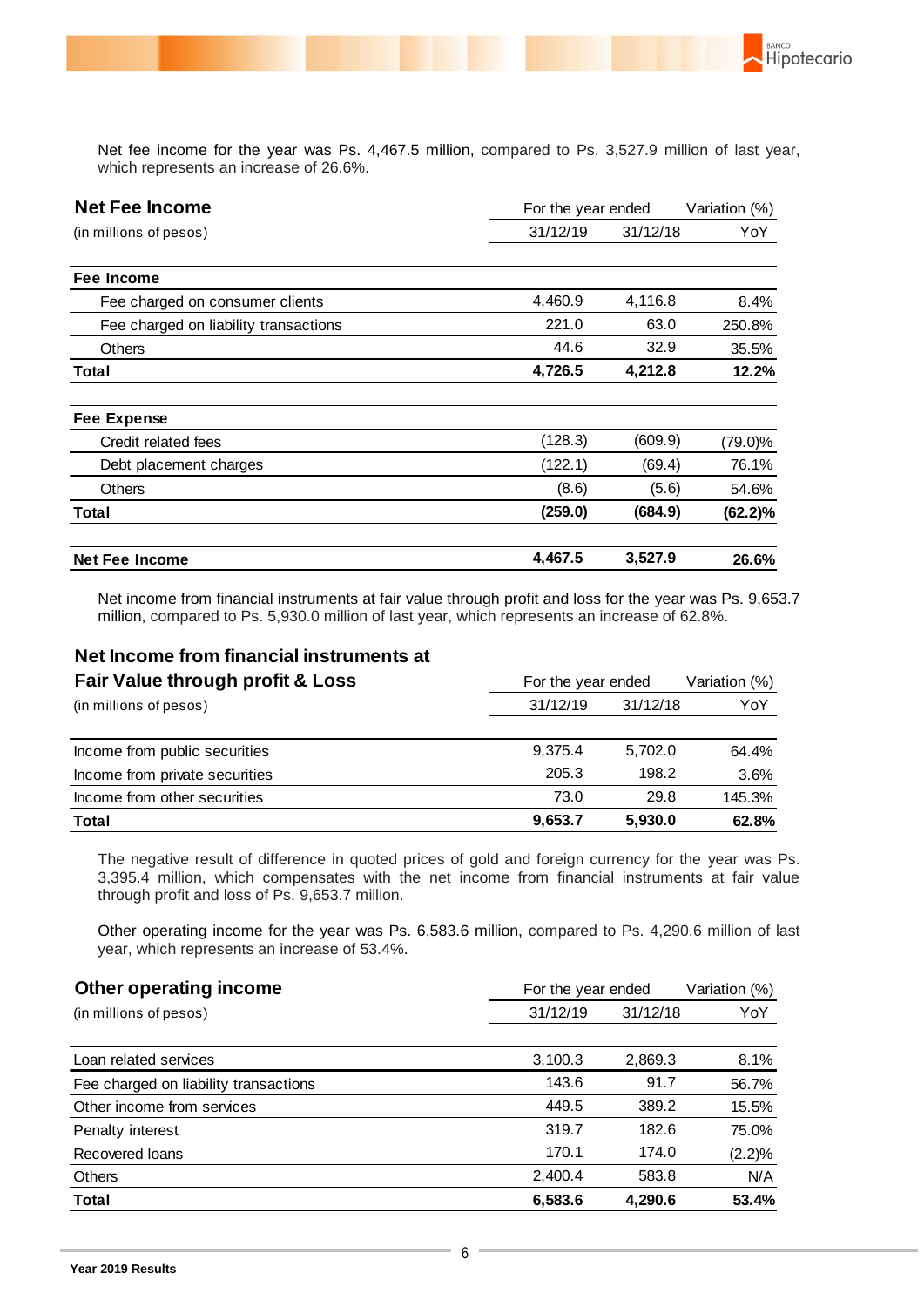

**BANCO** 

Net fee income for the year was Ps. 4,467.5 million, compared to Ps. 3,527.9 million of last year, which represents an increase of 26.6%.

| <b>Net Fee Income</b>                 | For the year ended | Variation (%) |            |
|---------------------------------------|--------------------|---------------|------------|
| (in millions of pesos)                | 31/12/19           | 31/12/18      | YoY        |
| Fee Income                            |                    |               |            |
| Fee charged on consumer clients       | 4,460.9            | 4,116.8       | 8.4%       |
| Fee charged on liability transactions | 221.0              | 63.0          | 250.8%     |
| Others                                | 44.6               | 32.9          | 35.5%      |
| Total                                 | 4,726.5            | 4,212.8       | 12.2%      |
| <b>Fee Expense</b>                    |                    |               |            |
| Credit related fees                   | (128.3)            | (609.9)       | $(79.0)\%$ |
| Debt placement charges                | (122.1)            | (69.4)        | 76.1%      |
| <b>Others</b>                         | (8.6)              | (5.6)         | 54.6%      |
| Total                                 | (259.0)            | (684.9)       | (62.2)%    |
| <b>Net Fee Income</b>                 | 4,467.5            | 3,527.9       | 26.6%      |

Net income from financial instruments at fair value through profit and loss for the year was Ps. 9,653.7 million, compared to Ps. 5,930.0 million of last year, which represents an increase of 62.8%.

## **Net Income from financial instruments at**

| Fair Value through profit & Loss |          | For the year ended |        |  |
|----------------------------------|----------|--------------------|--------|--|
| (in millions of pesos)           | 31/12/19 | 31/12/18           |        |  |
|                                  |          |                    |        |  |
| Income from public securities    | 9.375.4  | 5.702.0            | 64.4%  |  |
| Income from private securities   | 205.3    | 198.2              | 3.6%   |  |
| Income from other securities     | 73.0     | 29.8               | 145.3% |  |
| <b>Total</b>                     | 9,653.7  | 5,930.0            | 62.8%  |  |

The negative result of difference in quoted prices of gold and foreign currency for the year was Ps. 3,395.4 million, which compensates with the net income from financial instruments at fair value through profit and loss of Ps. 9,653.7 million.

Other operating income for the year was Ps. 6,583.6 million, compared to Ps. 4,290.6 million of last year, which represents an increase of 53.4%.

| Other operating income                | For the year ended | Variation (%) |           |
|---------------------------------------|--------------------|---------------|-----------|
| (in millions of pesos)                | 31/12/19           | 31/12/18      | YoY       |
|                                       |                    |               |           |
| Loan related services                 | 3,100.3            | 2,869.3       | 8.1%      |
| Fee charged on liability transactions | 143.6              | 91.7          | 56.7%     |
| Other income from services            | 449.5              | 389.2         | 15.5%     |
| Penalty interest                      | 319.7              | 182.6         | 75.0%     |
| Recovered loans                       | 170.1              | 174.0         | $(2.2)\%$ |
| Others                                | 2,400.4            | 583.8         | N/A       |
| <b>Total</b>                          | 6,583.6            | 4.290.6       | 53.4%     |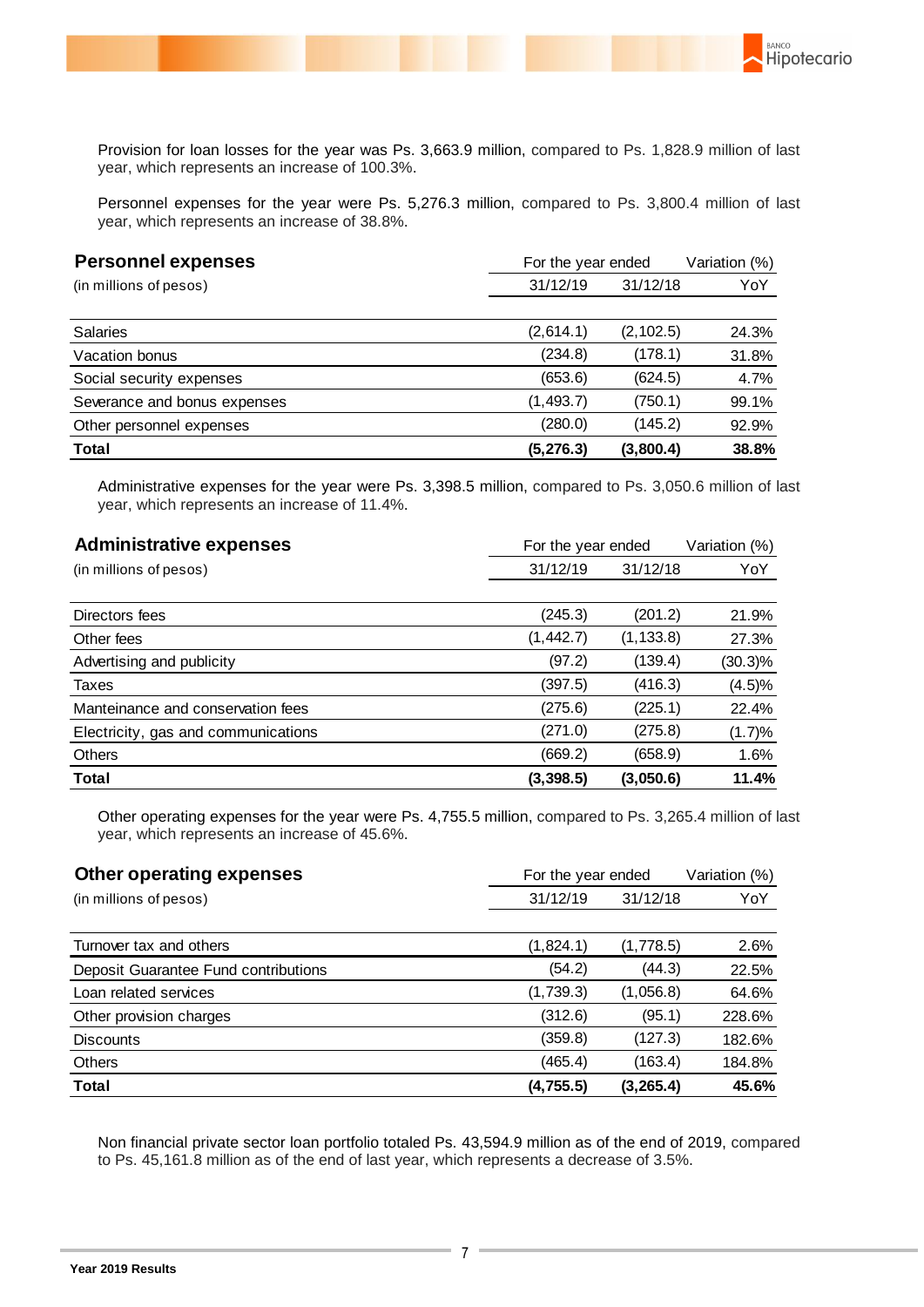Provision for loan losses for the year was Ps. 3,663.9 million, compared to Ps. 1,828.9 million of last year, which represents an increase of 100.3%.

Hipotecario

Personnel expenses for the year were Ps. 5,276.3 million, compared to Ps. 3,800.4 million of last year, which represents an increase of 38.8%.

| <b>Personnel expenses</b>    | For the year ended | Variation (%) |       |
|------------------------------|--------------------|---------------|-------|
| (in millions of pesos)       | 31/12/19           | 31/12/18      |       |
|                              |                    |               |       |
| <b>Salaries</b>              | (2,614.1)          | (2, 102.5)    | 24.3% |
| Vacation bonus               | (234.8)            | (178.1)       | 31.8% |
| Social security expenses     | (653.6)            | (624.5)       | 4.7%  |
| Severance and bonus expenses | (1, 493.7)         | (750.1)       | 99.1% |
| Other personnel expenses     | (280.0)            | (145.2)       | 92.9% |
| <b>Total</b>                 | (5, 276.3)         | (3,800.4)     | 38.8% |

Administrative expenses for the year were Ps. 3,398.5 million, compared to Ps. 3,050.6 million of last year, which represents an increase of 11.4%.

| <b>Administrative expenses</b>      | For the year ended | Variation (%) |            |
|-------------------------------------|--------------------|---------------|------------|
| (in millions of pesos)              | 31/12/19           | 31/12/18      | YoY        |
|                                     |                    |               |            |
| Directors fees                      | (245.3)            | (201.2)       | 21.9%      |
| Other fees                          | (1, 442.7)         | (1, 133.8)    | 27.3%      |
| Advertising and publicity           | (97.2)             | (139.4)       | $(30.3)\%$ |
| Taxes                               | (397.5)            | (416.3)       | (4.5)%     |
| Manteinance and conservation fees   | (275.6)            | (225.1)       | 22.4%      |
| Electricity, gas and communications | (271.0)            | (275.8)       | (1.7)%     |
| <b>Others</b>                       | (669.2)            | (658.9)       | 1.6%       |
| <b>Total</b>                        | (3, 398.5)         | (3,050.6)     | 11.4%      |

Other operating expenses for the year were Ps. 4,755.5 million, compared to Ps. 3,265.4 million of last year, which represents an increase of 45.6%.

| Other operating expenses             | For the year ended   | Variation (%)<br>YoY |        |
|--------------------------------------|----------------------|----------------------|--------|
| (in millions of pesos)               | 31/12/19<br>31/12/18 |                      |        |
|                                      |                      |                      |        |
| Turnover tax and others              | (1,824.1)            | (1,778.5)            | 2.6%   |
| Deposit Guarantee Fund contributions | (54.2)               | (44.3)               | 22.5%  |
| Loan related services                | (1,739.3)            | (1,056.8)            | 64.6%  |
| Other provision charges              | (312.6)              | (95.1)               | 228.6% |
| <b>Discounts</b>                     | (359.8)              | (127.3)              | 182.6% |
| <b>Others</b>                        | (465.4)              | (163.4)              | 184.8% |
| Total                                | (4, 755.5)           | (3, 265.4)           | 45.6%  |

Non financial private sector loan portfolio totaled Ps. 43,594.9 million as of the end of 2019, compared to Ps. 45,161.8 million as of the end of last year, which represents a decrease of 3.5%.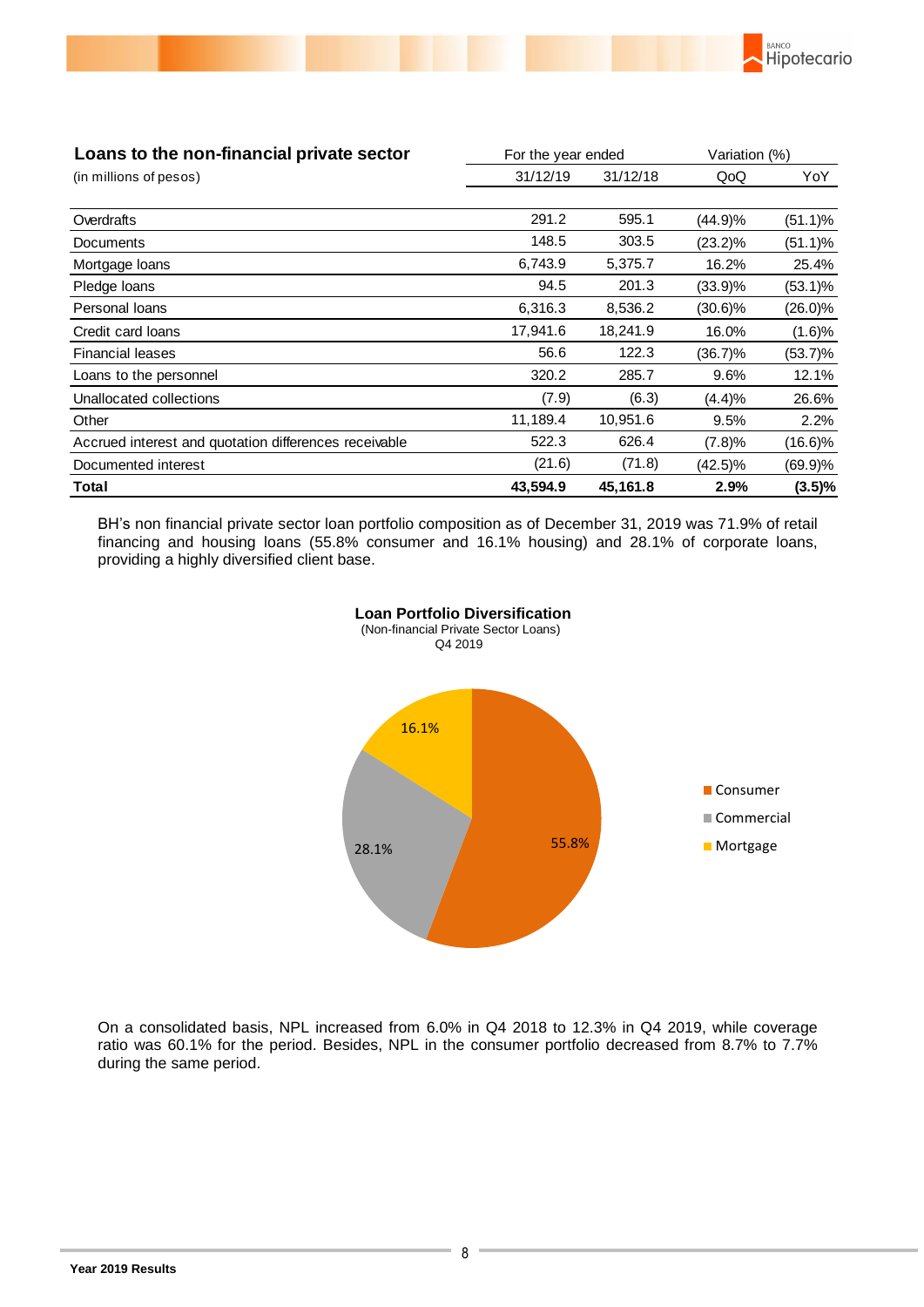

| Loans to the non-financial private sector             | For the year ended<br>Variation (%) |          |            |            |
|-------------------------------------------------------|-------------------------------------|----------|------------|------------|
| (in millions of pesos)                                | 31/12/19                            | 31/12/18 | QoQ        | YoY        |
|                                                       |                                     |          |            |            |
| Overdrafts                                            | 291.2                               | 595.1    | (44.9)%    | $(51.1)\%$ |
| Documents                                             | 148.5                               | 303.5    | $(23.2)\%$ | $(51.1)\%$ |
| Mortgage loans                                        | 6,743.9                             | 5,375.7  | 16.2%      | 25.4%      |
| Pledge loans                                          | 94.5                                | 201.3    | $(33.9)\%$ | $(53.1)\%$ |
| Personal loans                                        | 6,316.3                             | 8,536.2  | (30.6)%    | $(26.0)\%$ |
| Credit card loans                                     | 17,941.6                            | 18,241.9 | 16.0%      | (1.6)%     |
| <b>Financial leases</b>                               | 56.6                                | 122.3    | $(36.7)\%$ | $(53.7)\%$ |
| Loans to the personnel                                | 320.2                               | 285.7    | 9.6%       | 12.1%      |
| Unallocated collections                               | (7.9)                               | (6.3)    | (4.4)%     | 26.6%      |
| Other                                                 | 11,189.4                            | 10,951.6 | 9.5%       | 2.2%       |
| Accrued interest and quotation differences receivable | 522.3                               | 626.4    | (7.8)%     | $(16.6)\%$ |
| Documented interest                                   | (21.6)                              | (71.8)   | $(42.5)\%$ | $(69.9)\%$ |
| Total                                                 | 43,594.9                            | 45,161.8 | 2.9%       | $(3.5)\%$  |

BH's non financial private sector loan portfolio composition as of December 31, 2019 was 71.9% of retail financing and housing loans (55.8% consumer and 16.1% housing) and 28.1% of corporate loans, providing a highly diversified client base.



 **Loan Portfolio Diversification** (Non-financial Private Sector Loans)

On a consolidated basis, NPL increased from 6.0% in Q4 2018 to 12.3% in Q4 2019, while coverage ratio was 60.1% for the period. Besides, NPL in the consumer portfolio decreased from 8.7% to 7.7% during the same period.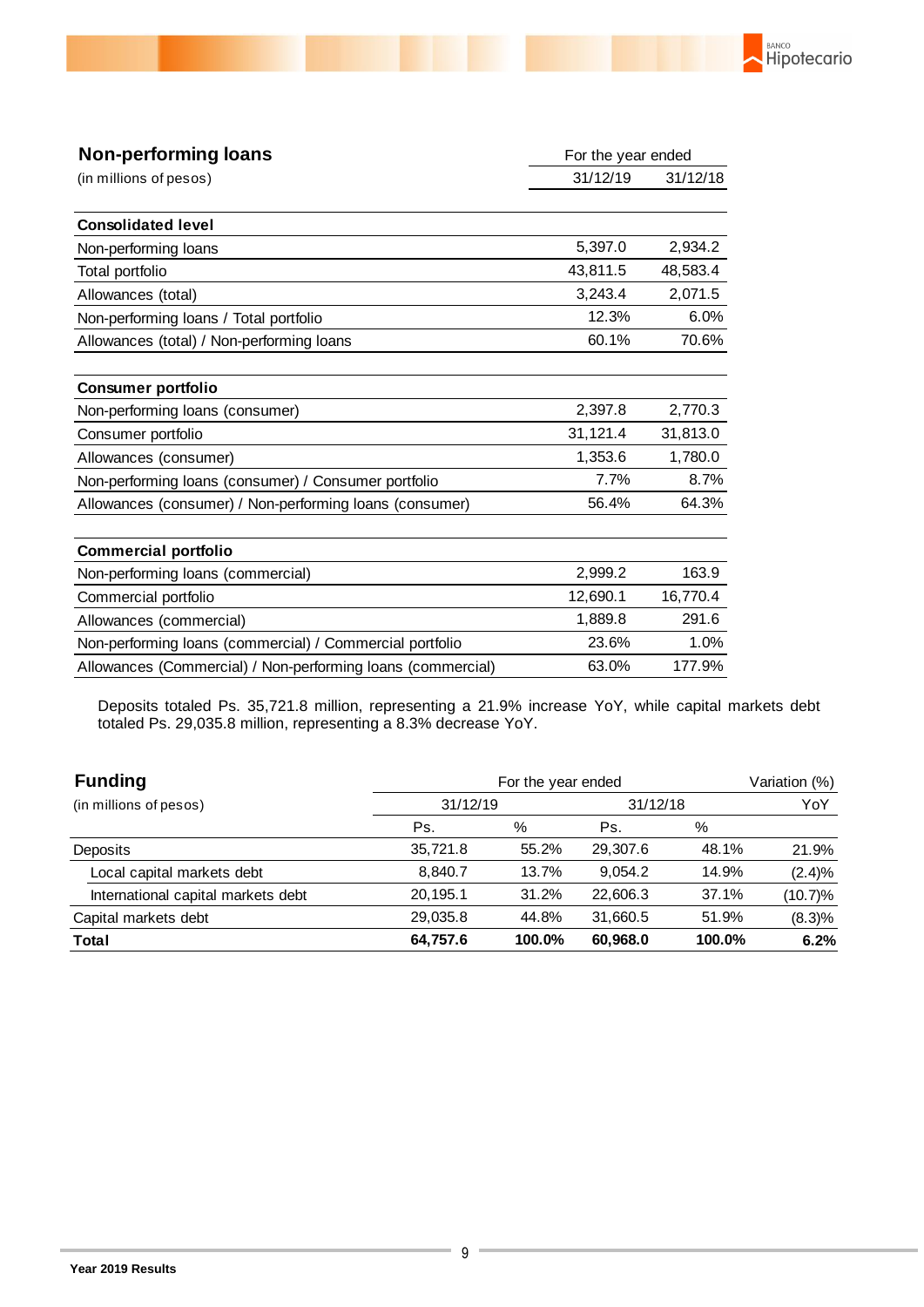

| <b>Non-performing loans</b>                                 | For the year ended |          |
|-------------------------------------------------------------|--------------------|----------|
| (in millions of pesos)                                      | 31/12/19           | 31/12/18 |
|                                                             |                    |          |
| <b>Consolidated level</b>                                   |                    |          |
| Non-performing loans                                        | 5,397.0            | 2,934.2  |
| Total portfolio                                             | 43,811.5           | 48,583.4 |
| Allowances (total)                                          | 3,243.4            | 2,071.5  |
| Non-performing loans / Total portfolio                      | 12.3%              | 6.0%     |
| Allowances (total) / Non-performing loans                   | 60.1%              | 70.6%    |
|                                                             |                    |          |
| <b>Consumer portfolio</b>                                   |                    |          |
| Non-performing loans (consumer)                             | 2,397.8            | 2,770.3  |
| Consumer portfolio                                          | 31,121.4           | 31,813.0 |
| Allowances (consumer)                                       | 1,353.6            | 1,780.0  |
| Non-performing loans (consumer) / Consumer portfolio        | 7.7%               | 8.7%     |
| Allowances (consumer) / Non-performing loans (consumer)     | 56.4%              | 64.3%    |
|                                                             |                    |          |
| <b>Commercial portfolio</b>                                 |                    |          |
| Non-performing loans (commercial)                           | 2,999.2            | 163.9    |
| Commercial portfolio                                        | 12,690.1           | 16,770.4 |
| Allowances (commercial)                                     | 1,889.8            | 291.6    |
| Non-performing loans (commercial) / Commercial portfolio    | 23.6%              | 1.0%     |
| Allowances (Commercial) / Non-performing loans (commercial) | 63.0%              | 177.9%   |

Deposits totaled Ps. 35,721.8 million, representing a 21.9% increase YoY, while capital markets debt totaled Ps. 29,035.8 million, representing a 8.3% decrease YoY.

| <b>Funding</b>                     | For the year ended |        |          |        | Variation (%) |
|------------------------------------|--------------------|--------|----------|--------|---------------|
| (in millions of pesos)             | 31/12/19           |        | 31/12/18 |        | YoY           |
|                                    | Ps.                | %      | Ps.      | %      |               |
| Deposits                           | 35,721.8           | 55.2%  | 29,307.6 | 48.1%  | 21.9%         |
| Local capital markets debt         | 8.840.7            | 13.7%  | 9.054.2  | 14.9%  | (2.4)%        |
| International capital markets debt | 20, 195.1          | 31.2%  | 22,606.3 | 37.1%  | $(10.7)\%$    |
| Capital markets debt               | 29,035.8           | 44.8%  | 31,660.5 | 51.9%  | (8.3)%        |
| <b>Total</b>                       | 64,757.6           | 100.0% | 60,968.0 | 100.0% | 6.2%          |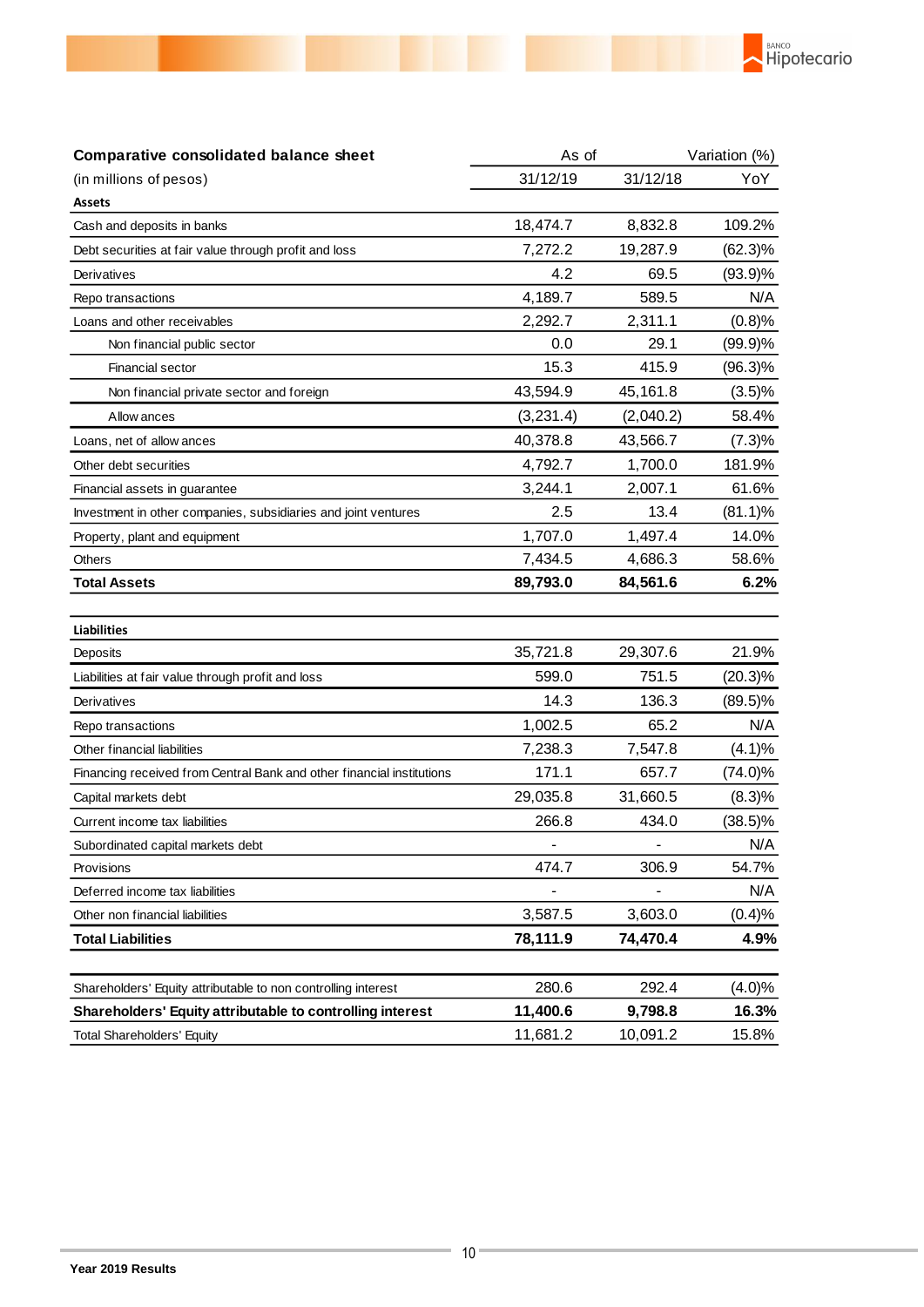

| Comparative consolidated balance sheet                                | As of      | Variation (%) |                    |  |
|-----------------------------------------------------------------------|------------|---------------|--------------------|--|
| (in millions of pesos)                                                | 31/12/19   | 31/12/18      | YoY                |  |
| <b>Assets</b>                                                         |            |               |                    |  |
| Cash and deposits in banks                                            | 18,474.7   | 8,832.8       | 109.2%             |  |
| Debt securities at fair value through profit and loss                 | 7,272.2    | 19,287.9      | $(62.3)\%$         |  |
| Derivatives                                                           | 4.2        | 69.5          | $(93.9)\%$         |  |
| Repo transactions                                                     | 4,189.7    | 589.5         | N/A                |  |
| Loans and other receivables                                           | 2,292.7    | 2,311.1       | (0.8)%             |  |
| Non financial public sector                                           | 0.0        | 29.1          | $(99.9)\%$         |  |
| Financial sector                                                      | 15.3       | 415.9         | $(96.3)\%$         |  |
| Non financial private sector and foreign                              | 43,594.9   | 45,161.8      | (3.5)%             |  |
| Allow ances                                                           | (3, 231.4) | (2,040.2)     | 58.4%              |  |
| Loans, net of allow ances                                             | 40,378.8   | 43,566.7      | (7.3)%             |  |
| Other debt securities                                                 | 4,792.7    | 1,700.0       | 181.9%             |  |
| Financial assets in guarantee                                         | 3,244.1    | 2,007.1       | 61.6%              |  |
| Investment in other companies, subsidiaries and joint ventures        | 2.5        | 13.4          | $(81.1)\%$         |  |
| Property, plant and equipment                                         | 1,707.0    | 1,497.4       | 14.0%              |  |
| Others                                                                | 7,434.5    | 4,686.3       | 58.6%              |  |
| <b>Total Assets</b>                                                   | 89,793.0   | 84,561.6      | 6.2%               |  |
| <b>Liabilities</b>                                                    |            |               |                    |  |
| Deposits                                                              | 35,721.8   | 29,307.6      | 21.9%              |  |
| Liabilities at fair value through profit and loss                     | 599.0      | 751.5         | $(20.3)\%$         |  |
| Derivatives                                                           | 14.3       | 136.3         | $(89.5)\%$         |  |
| Repo transactions                                                     | 1,002.5    | 65.2          | N/A                |  |
| Other financial liabilities                                           | 7,238.3    | 7,547.8       | (4.1)%             |  |
| Financing received from Central Bank and other financial institutions | 171.1      | 657.7         | $(74.0)\%$         |  |
| Capital markets debt                                                  | 29,035.8   | 31,660.5      | (8.3)%             |  |
| Current income tax liabilities                                        | 266.8      | 434.0         | $(38.5)\%$         |  |
| Subordinated capital markets debt                                     |            |               | N/A                |  |
| Provisions                                                            | 474.7      | 306.9         | 54.7%              |  |
| Deferred income tax liabilities                                       |            |               | N/A                |  |
| Other non financial liabilities                                       | 3,587.5    | 3,603.0       | (0.4)%             |  |
| <b>Total Liabilities</b>                                              | 78,111.9   | 74,470.4      | 4.9%               |  |
| Shareholders' Equity attributable to non controlling interest         | 280.6      | 292.4         |                    |  |
| Shareholders' Equity attributable to controlling interest             | 11,400.6   | 9,798.8       | $(4.0)\%$<br>16.3% |  |
| <b>Total Shareholders' Equity</b>                                     | 11,681.2   | 10,091.2      | 15.8%              |  |
|                                                                       |            |               |                    |  |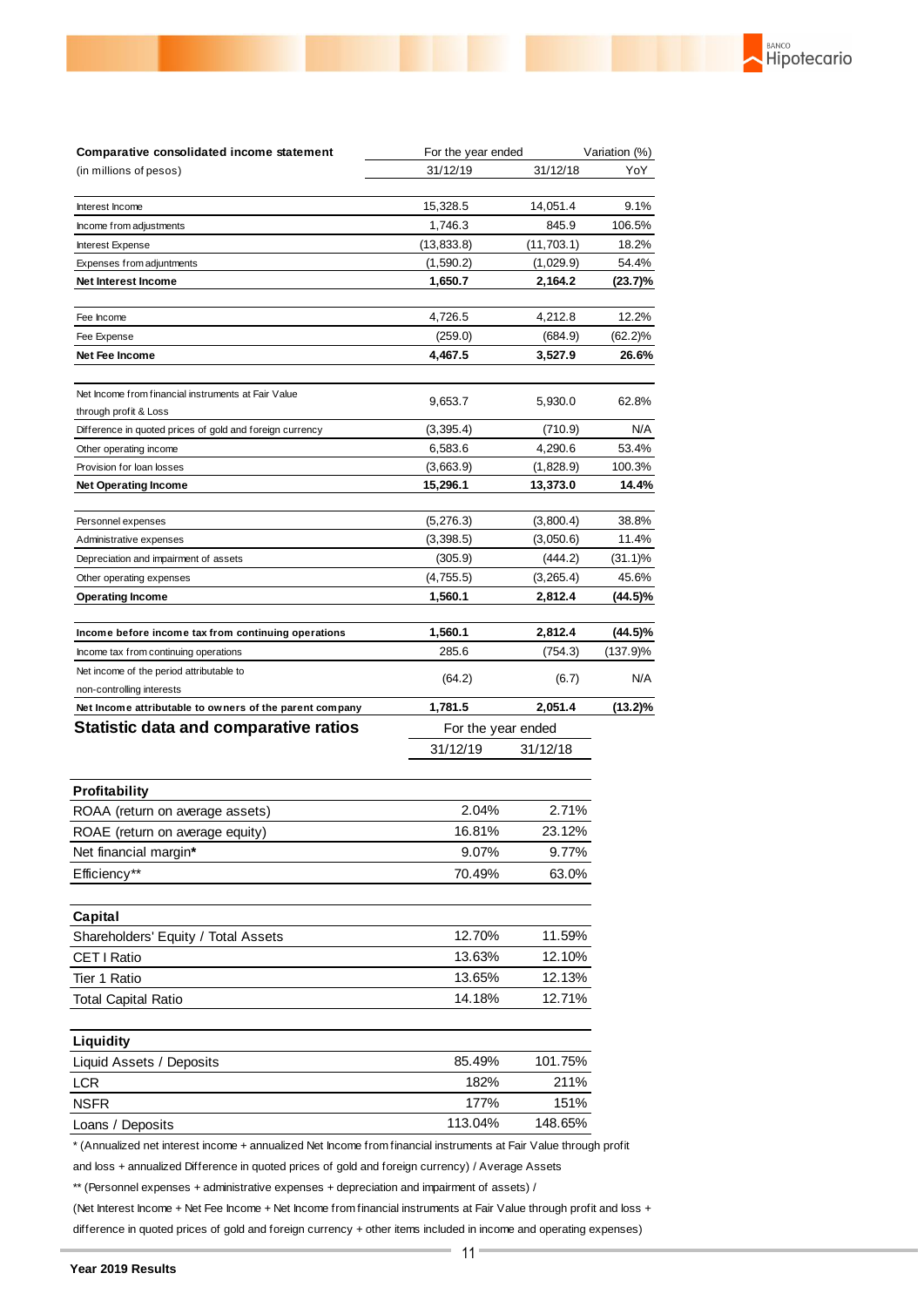

| Comparative consolidated income statement                                                                         | For the year ended    |                       | Variation (%)   |
|-------------------------------------------------------------------------------------------------------------------|-----------------------|-----------------------|-----------------|
| (in millions of pesos)                                                                                            | 31/12/19              | 31/12/18              |                 |
| Interest Income                                                                                                   | 15,328.5              | 14,051.4              | 9.1%            |
| Income from adjustments                                                                                           | 1,746.3<br>845.9      |                       | 106.5%          |
| Interest Expense                                                                                                  | (13, 833.8)           | (11, 703.1)           | 18.2%           |
| Expenses from adjuntments                                                                                         | (1,590.2)             | (1,029.9)             | 54.4%           |
| Net Interest Income                                                                                               | 1,650.7               | 2,164.2               | (23.7)%         |
|                                                                                                                   |                       |                       |                 |
| Fee Income                                                                                                        | 4,726.5               | 4,212.8               | 12.2%           |
| Fee Expense                                                                                                       | (259.0)               | (684.9)               | $(62.2)\%$      |
| Net Fee Income                                                                                                    | 4,467.5               | 3,527.9               | 26.6%           |
| Net Income from financial instruments at Fair Value                                                               | 9,653.7               | 5,930.0               | 62.8%           |
| through profit & Loss                                                                                             |                       |                       |                 |
| Difference in quoted prices of gold and foreign currency                                                          | (3, 395.4)            | (710.9)               | N/A             |
| Other operating income                                                                                            | 6,583.6               | 4,290.6               | 53.4%           |
| Provision for loan losses                                                                                         | (3,663.9)<br>15,296.1 | (1,828.9)<br>13,373.0 | 100.3%<br>14.4% |
| <b>Net Operating Income</b>                                                                                       |                       |                       |                 |
| Personnel expenses                                                                                                | (5, 276.3)            | (3,800.4)             | 38.8%           |
| Administrative expenses                                                                                           | (3,398.5)             | (3,050.6)             | 11.4%           |
| Depreciation and impairment of assets                                                                             | (305.9)               | (444.2)               | (31.1)%         |
| Other operating expenses                                                                                          | (4, 755.5)            | (3,265.4)             | 45.6%           |
| <b>Operating Income</b>                                                                                           | 1,560.1               | 2,812.4               | $(44.5)\%$      |
| Income before income tax from continuing operations                                                               | 1,560.1               | 2,812.4               | $(44.5)\%$      |
| Income tax from continuing operations                                                                             | 285.6<br>(754.3)      |                       | (137.9)%        |
| Net income of the period attributable to                                                                          |                       |                       | N/A             |
| non-controlling interests                                                                                         | (64.2)                | (6.7)                 |                 |
| Net Income attributable to owners of the parent company                                                           | 1,781.5               | 2,051.4               | $(13.2)\%$      |
| <b>Statistic data and comparative ratios</b>                                                                      | For the year ended    |                       |                 |
|                                                                                                                   | 31/12/19              | 31/12/18              |                 |
| <b>Profitability</b>                                                                                              |                       |                       |                 |
| ROAA (return on average assets)                                                                                   | 2.04%<br>2.71%        |                       |                 |
| ROAE (return on average equity)                                                                                   | 16.81%<br>23.12%      |                       |                 |
| Net financial margin*                                                                                             | 9.07%<br>9.77%        |                       |                 |
| Efficiency**                                                                                                      | 70.49%<br>63.0%       |                       |                 |
|                                                                                                                   |                       |                       |                 |
| Capital                                                                                                           |                       |                       |                 |
| Shareholders' Equity / Total Assets                                                                               | 12.70%                | 11.59%                |                 |
| CET I Ratio                                                                                                       | 13.63%                | 12.10%                |                 |
| Tier 1 Ratio                                                                                                      | 13.65%                | 12.13%                |                 |
| <b>Total Capital Ratio</b>                                                                                        | 14.18%                | 12.71%                |                 |
|                                                                                                                   |                       |                       |                 |
| Liquidity                                                                                                         |                       |                       |                 |
| Liquid Assets / Deposits                                                                                          | 85.49%                | 101.75%               |                 |
| <b>LCR</b>                                                                                                        | 182%                  | 211%                  |                 |
| <b>NSFR</b>                                                                                                       | 177%                  | 151%                  |                 |
| Loans / Deposits                                                                                                  | 113.04%               | 148.65%               |                 |
| * (Annualized net interest income + annualized Net Income from financial instruments at Fair Value through profit |                       |                       |                 |
| and loss + annualized Difference in quoted prices of gold and foreign currency) / Average Assets                  |                       |                       |                 |
| ** (Personnel expenses + administrative expenses + depreciation and impairment of assets) /                       |                       |                       |                 |

(Net Interest Income + Net Fee Income + Net Income from financial instruments at Fair Value through profit and loss + difference in quoted prices of gold and foreign currency + other items included in income and operating expenses)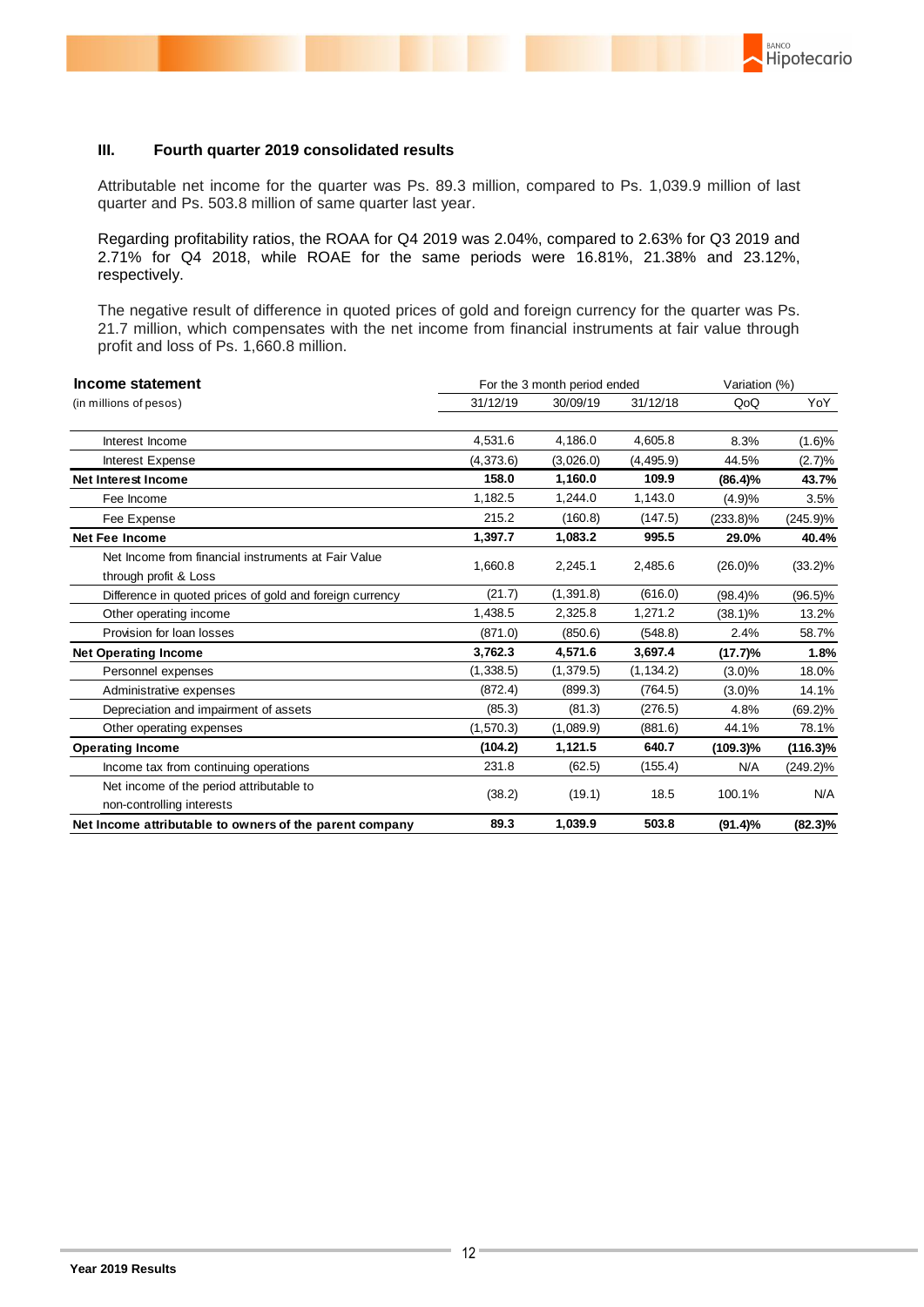### **III. Fourth quarter 2019 consolidated results**

Attributable net income for the quarter was Ps. 89.3 million, compared to Ps. 1,039.9 million of last quarter and Ps. 503.8 million of same quarter last year.

BANCO

Hipotecario

Regarding profitability ratios, the ROAA for Q4 2019 was 2.04%, compared to 2.63% for Q3 2019 and 2.71% for Q4 2018, while ROAE for the same periods were 16.81%, 21.38% and 23.12%, respectively.

The negative result of difference in quoted prices of gold and foreign currency for the quarter was Ps. 21.7 million, which compensates with the net income from financial instruments at fair value through profit and loss of Ps. 1,660.8 million.

| Income statement                                                             | For the 3 month period ended |            |            | Variation (%) |             |
|------------------------------------------------------------------------------|------------------------------|------------|------------|---------------|-------------|
| (in millions of pesos)                                                       | 31/12/19                     | 30/09/19   | 31/12/18   | QoQ           | YoY         |
| Interest Income                                                              | 4,531.6                      | 4,186.0    | 4,605.8    | 8.3%          | (1.6)%      |
| Interest Expense                                                             | (4,373.6)                    | (3,026.0)  | (4, 495.9) | 44.5%         | (2.7)%      |
| <b>Net Interest Income</b>                                                   | 158.0                        | 1,160.0    | 109.9      | $(86.4)\%$    | 43.7%       |
| Fee Income                                                                   | 1,182.5                      | 1,244.0    | 1,143.0    | (4.9)%        | 3.5%        |
| Fee Expense                                                                  | 215.2                        | (160.8)    | (147.5)    | $(233.8)\%$   | $(245.9)\%$ |
| <b>Net Fee Income</b>                                                        | 1,397.7                      | 1,083.2    | 995.5      | 29.0%         | 40.4%       |
| Net Income from financial instruments at Fair Value<br>through profit & Loss | 1,660.8                      | 2,245.1    | 2,485.6    | $(26.0)\%$    | $(33.2)\%$  |
| Difference in quoted prices of gold and foreign currency                     | (21.7)                       | (1, 391.8) | (616.0)    | $(98.4)\%$    | $(96.5)\%$  |
| Other operating income                                                       | 1.438.5                      | 2,325.8    | 1,271.2    | $(38.1)\%$    | 13.2%       |
| Provision for loan losses                                                    | (871.0)                      | (850.6)    | (548.8)    | 2.4%          | 58.7%       |
| <b>Net Operating Income</b>                                                  | 3.762.3                      | 4.571.6    | 3,697.4    | (17.7)%       | 1.8%        |
| Personnel expenses                                                           | (1,338.5)                    | (1, 379.5) | (1, 134.2) | $(3.0)\%$     | 18.0%       |
| Administrative expenses                                                      | (872.4)                      | (899.3)    | (764.5)    | $(3.0)\%$     | 14.1%       |
| Depreciation and impairment of assets                                        | (85.3)                       | (81.3)     | (276.5)    | 4.8%          | $(69.2)\%$  |
| Other operating expenses                                                     | (1,570.3)                    | (1,089.9)  | (881.6)    | 44.1%         | 78.1%       |
| <b>Operating Income</b>                                                      | (104.2)                      | 1,121.5    | 640.7      | $(109.3)\%$   | $(116.3)\%$ |
| Income tax from continuing operations                                        | 231.8                        | (62.5)     | (155.4)    | N/A           | $(249.2)\%$ |
| Net income of the period attributable to                                     | (38.2)                       |            | 18.5       | 100.1%        | N/A         |
| non-controlling interests                                                    |                              | (19.1)     |            |               |             |
| Net Income attributable to owners of the parent company                      | 89.3                         | 1,039.9    | 503.8      | $(91.4)\%$    | $(82.3)\%$  |